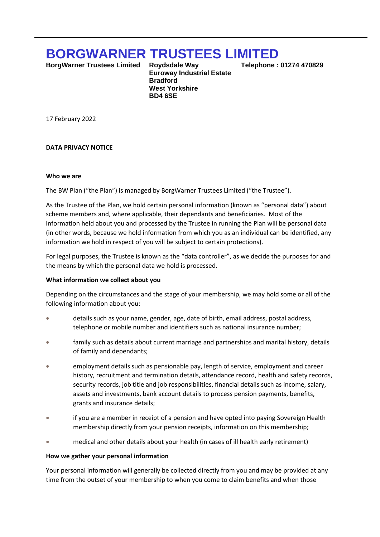# **BORGWARNER TRUSTEES LIMITED**

**BorgWarner Trustees Limited Roydsdale Way Telephone : 01274 470829** 

 **Euroway Industrial Estate Bradford West Yorkshire BD4 6SE**

17 February 2022

## **DATA PRIVACY NOTICE**

#### **Who we are**

The BW Plan ("the Plan") is managed by BorgWarner Trustees Limited ("the Trustee").

As the Trustee of the Plan, we hold certain personal information (known as "personal data") about scheme members and, where applicable, their dependants and beneficiaries. Most of the information held about you and processed by the Trustee in running the Plan will be personal data (in other words, because we hold information from which you as an individual can be identified, any information we hold in respect of you will be subject to certain protections).

For legal purposes, the Trustee is known as the "data controller", as we decide the purposes for and the means by which the personal data we hold is processed.

#### **What information we collect about you**

Depending on the circumstances and the stage of your membership, we may hold some or all of the following information about you:

- details such as your name, gender, age, date of birth, email address, postal address, telephone or mobile number and identifiers such as national insurance number;
- family such as details about current marriage and partnerships and marital history, details of family and dependants;
- employment details such as pensionable pay, length of service, employment and career history, recruitment and termination details, attendance record, health and safety records, security records, job title and job responsibilities, financial details such as income, salary, assets and investments, bank account details to process pension payments, benefits, grants and insurance details;
- if you are a member in receipt of a pension and have opted into paying Sovereign Health membership directly from your pension receipts, information on this membership;
- medical and other details about your health (in cases of ill health early retirement)

#### **How we gather your personal information**

Your personal information will generally be collected directly from you and may be provided at any time from the outset of your membership to when you come to claim benefits and when those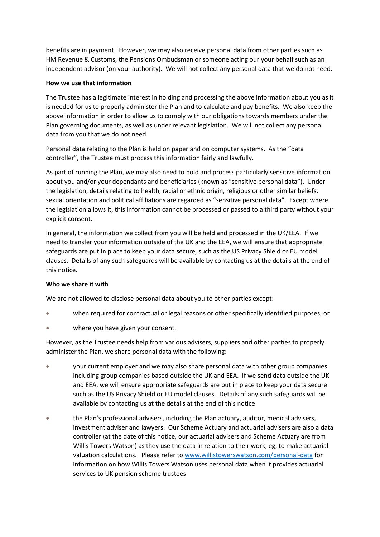benefits are in payment. However, we may also receive personal data from other parties such as HM Revenue & Customs, the Pensions Ombudsman or someone acting our your behalf such as an independent advisor (on your authority). We will not collect any personal data that we do not need.

# **How we use that information**

The Trustee has a legitimate interest in holding and processing the above information about you as it is needed for us to properly administer the Plan and to calculate and pay benefits. We also keep the above information in order to allow us to comply with our obligations towards members under the Plan governing documents, as well as under relevant legislation. We will not collect any personal data from you that we do not need.

Personal data relating to the Plan is held on paper and on computer systems. As the "data controller", the Trustee must process this information fairly and lawfully.

As part of running the Plan, we may also need to hold and process particularly sensitive information about you and/or your dependants and beneficiaries (known as "sensitive personal data"). Under the legislation, details relating to health, racial or ethnic origin, religious or other similar beliefs, sexual orientation and political affiliations are regarded as "sensitive personal data". Except where the legislation allows it, this information cannot be processed or passed to a third party without your explicit consent.

In general, the information we collect from you will be held and processed in the UK/EEA. If we need to transfer your information outside of the UK and the EEA, we will ensure that appropriate safeguards are put in place to keep your data secure, such as the US Privacy Shield or EU model clauses. Details of any such safeguards will be available by contacting us at the details at the end of this notice.

## **Who we share it with**

We are not allowed to disclose personal data about you to other parties except:

- when required for contractual or legal reasons or other specifically identified purposes; or
- where you have given your consent.

However, as the Trustee needs help from various advisers, suppliers and other parties to properly administer the Plan, we share personal data with the following:

- your current employer and we may also share personal data with other group companies including group companies based outside the UK and EEA. If we send data outside the UK and EEA, we will ensure appropriate safeguards are put in place to keep your data secure such as the US Privacy Shield or EU model clauses. Details of any such safeguards will be available by contacting us at the details at the end of this notice
- the Plan's professional advisers, including the Plan actuary, auditor, medical advisers, investment adviser and lawyers. Our Scheme Actuary and actuarial advisers are also a data controller (at the date of this notice, our actuarial advisers and Scheme Actuary are from Willis Towers Watson) as they use the data in relation to their work, eg, to make actuarial valuation calculations. Please refer to www.willistowerswatson.com/personal-data for information on how Willis Towers Watson uses personal data when it provides actuarial services to UK pension scheme trustees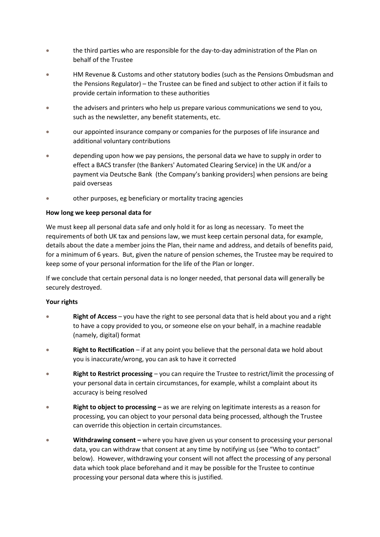- the third parties who are responsible for the day-to-day administration of the Plan on behalf of the Trustee
- HM Revenue & Customs and other statutory bodies (such as the Pensions Ombudsman and the Pensions Regulator) – the Trustee can be fined and subject to other action if it fails to provide certain information to these authorities
- the advisers and printers who help us prepare various communications we send to you, such as the newsletter, any benefit statements, etc.
- our appointed insurance company or companies for the purposes of life insurance and additional voluntary contributions
- depending upon how we pay pensions, the personal data we have to supply in order to effect a BACS transfer (the Bankers' Automated Clearing Service) in the UK and/or a payment via Deutsche Bank (the Company's banking providers] when pensions are being paid overseas
- other purposes, eg beneficiary or mortality tracing agencies

# **How long we keep personal data for**

We must keep all personal data safe and only hold it for as long as necessary. To meet the requirements of both UK tax and pensions law, we must keep certain personal data, for example, details about the date a member joins the Plan, their name and address, and details of benefits paid, for a minimum of 6 years. But, given the nature of pension schemes, the Trustee may be required to keep some of your personal information for the life of the Plan or longer.

If we conclude that certain personal data is no longer needed, that personal data will generally be securely destroyed.

## **Your rights**

- **Right of Access**  you have the right to see personal data that is held about you and a right to have a copy provided to you, or someone else on your behalf, in a machine readable (namely, digital) format
- **Right to Rectification** if at any point you believe that the personal data we hold about you is inaccurate/wrong, you can ask to have it corrected
- **Right to Restrict processing**  you can require the Trustee to restrict/limit the processing of your personal data in certain circumstances, for example, whilst a complaint about its accuracy is being resolved
- **Right to object to processing –** as we are relying on legitimate interests as a reason for processing, you can object to your personal data being processed, although the Trustee can override this objection in certain circumstances.
- **Withdrawing consent –** where you have given us your consent to processing your personal data, you can withdraw that consent at any time by notifying us (see "Who to contact" below). However, withdrawing your consent will not affect the processing of any personal data which took place beforehand and it may be possible for the Trustee to continue processing your personal data where this is justified.